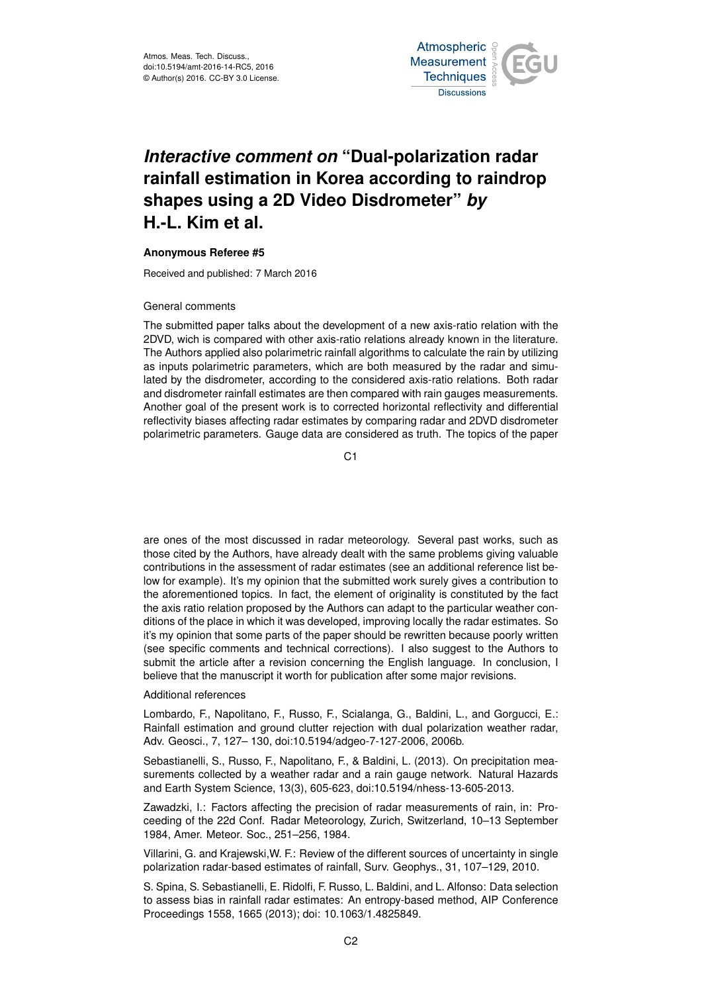

# *Interactive comment on* **"Dual-polarization radar rainfall estimation in Korea according to raindrop shapes using a 2D Video Disdrometer"** *by* **H.-L. Kim et al.**

## **Anonymous Referee #5**

Received and published: 7 March 2016

#### General comments

The submitted paper talks about the development of a new axis-ratio relation with the 2DVD, wich is compared with other axis-ratio relations already known in the literature. The Authors applied also polarimetric rainfall algorithms to calculate the rain by utilizing as inputs polarimetric parameters, which are both measured by the radar and simulated by the disdrometer, according to the considered axis-ratio relations. Both radar and disdrometer rainfall estimates are then compared with rain gauges measurements. Another goal of the present work is to corrected horizontal reflectivity and differential reflectivity biases affecting radar estimates by comparing radar and 2DVD disdrometer polarimetric parameters. Gauge data are considered as truth. The topics of the paper

C<sub>1</sub>

are ones of the most discussed in radar meteorology. Several past works, such as those cited by the Authors, have already dealt with the same problems giving valuable contributions in the assessment of radar estimates (see an additional reference list below for example). It's my opinion that the submitted work surely gives a contribution to the aforementioned topics. In fact, the element of originality is constituted by the fact the axis ratio relation proposed by the Authors can adapt to the particular weather conditions of the place in which it was developed, improving locally the radar estimates. So it's my opinion that some parts of the paper should be rewritten because poorly written (see specific comments and technical corrections). I also suggest to the Authors to submit the article after a revision concerning the English language. In conclusion, I believe that the manuscript it worth for publication after some major revisions.

#### Additional references

Lombardo, F., Napolitano, F., Russo, F., Scialanga, G., Baldini, L., and Gorgucci, E.: Rainfall estimation and ground clutter rejection with dual polarization weather radar, Adv. Geosci., 7, 127– 130, doi:10.5194/adgeo-7-127-2006, 2006b.

Sebastianelli, S., Russo, F., Napolitano, F., & Baldini, L. (2013). On precipitation measurements collected by a weather radar and a rain gauge network. Natural Hazards and Earth System Science, 13(3), 605-623, doi:10.5194/nhess-13-605-2013.

Zawadzki, I.: Factors affecting the precision of radar measurements of rain, in: Proceeding of the 22d Conf. Radar Meteorology, Zurich, Switzerland, 10–13 September 1984, Amer. Meteor. Soc., 251–256, 1984.

Villarini, G. and Krajewski,W. F.: Review of the different sources of uncertainty in single polarization radar-based estimates of rainfall, Surv. Geophys., 31, 107–129, 2010.

S. Spina, S. Sebastianelli, E. Ridolfi, F. Russo, L. Baldini, and L. Alfonso: Data selection to assess bias in rainfall radar estimates: An entropy-based method, AIP Conference Proceedings 1558, 1665 (2013); doi: 10.1063/1.4825849.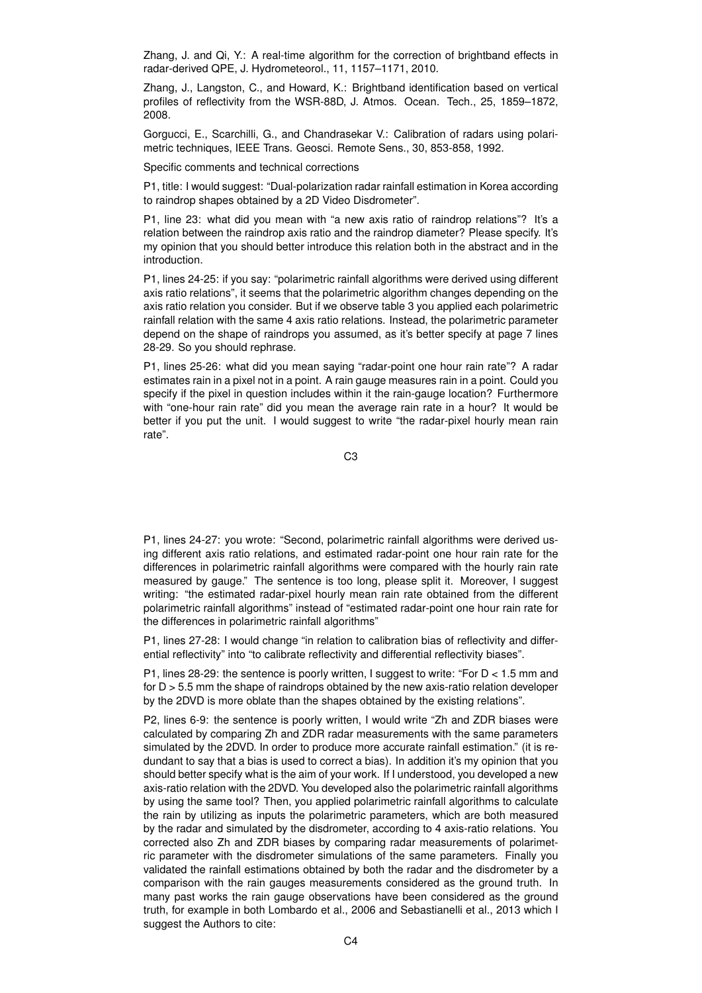Zhang, J. and Qi, Y.: A real-time algorithm for the correction of brightband effects in radar-derived QPE, J. Hydrometeorol., 11, 1157–1171, 2010.

Zhang, J., Langston, C., and Howard, K.: Brightband identification based on vertical profiles of reflectivity from the WSR-88D, J. Atmos. Ocean. Tech., 25, 1859–1872, 2008.

Gorgucci, E., Scarchilli, G., and Chandrasekar V.: Calibration of radars using polarimetric techniques, IEEE Trans. Geosci. Remote Sens., 30, 853-858, 1992.

Specific comments and technical corrections

P1, title: I would suggest: "Dual-polarization radar rainfall estimation in Korea according to raindrop shapes obtained by a 2D Video Disdrometer".

P1, line 23: what did you mean with "a new axis ratio of raindrop relations"? It's a relation between the raindrop axis ratio and the raindrop diameter? Please specify. It's my opinion that you should better introduce this relation both in the abstract and in the introduction.

P1, lines 24-25: if you say: "polarimetric rainfall algorithms were derived using different axis ratio relations", it seems that the polarimetric algorithm changes depending on the axis ratio relation you consider. But if we observe table 3 you applied each polarimetric rainfall relation with the same 4 axis ratio relations. Instead, the polarimetric parameter depend on the shape of raindrops you assumed, as it's better specify at page 7 lines 28-29. So you should rephrase.

P1, lines 25-26: what did you mean saying "radar-point one hour rain rate"? A radar estimates rain in a pixel not in a point. A rain gauge measures rain in a point. Could you specify if the pixel in question includes within it the rain-gauge location? Furthermore with "one-hour rain rate" did you mean the average rain rate in a hour? It would be better if you put the unit. I would suggest to write "the radar-pixel hourly mean rain rate".

C3

P1, lines 24-27: you wrote: "Second, polarimetric rainfall algorithms were derived using different axis ratio relations, and estimated radar-point one hour rain rate for the differences in polarimetric rainfall algorithms were compared with the hourly rain rate measured by gauge." The sentence is too long, please split it. Moreover, I suggest writing: "the estimated radar-pixel hourly mean rain rate obtained from the different polarimetric rainfall algorithms" instead of "estimated radar-point one hour rain rate for the differences in polarimetric rainfall algorithms"

P1, lines 27-28: I would change "in relation to calibration bias of reflectivity and differential reflectivity" into "to calibrate reflectivity and differential reflectivity biases".

P1, lines 28-29: the sentence is poorly written, I suggest to write: "For  $D < 1.5$  mm and for  $D > 5.5$  mm the shape of raindrops obtained by the new axis-ratio relation developer by the 2DVD is more oblate than the shapes obtained by the existing relations".

P2, lines 6-9: the sentence is poorly written, I would write "Zh and ZDR biases were calculated by comparing Zh and ZDR radar measurements with the same parameters simulated by the 2DVD. In order to produce more accurate rainfall estimation." (it is redundant to say that a bias is used to correct a bias). In addition it's my opinion that you should better specify what is the aim of your work. If I understood, you developed a new axis-ratio relation with the 2DVD. You developed also the polarimetric rainfall algorithms by using the same tool? Then, you applied polarimetric rainfall algorithms to calculate the rain by utilizing as inputs the polarimetric parameters, which are both measured by the radar and simulated by the disdrometer, according to 4 axis-ratio relations. You corrected also Zh and ZDR biases by comparing radar measurements of polarimetric parameter with the disdrometer simulations of the same parameters. Finally you validated the rainfall estimations obtained by both the radar and the disdrometer by a comparison with the rain gauges measurements considered as the ground truth. In many past works the rain gauge observations have been considered as the ground truth, for example in both Lombardo et al., 2006 and Sebastianelli et al., 2013 which I suggest the Authors to cite: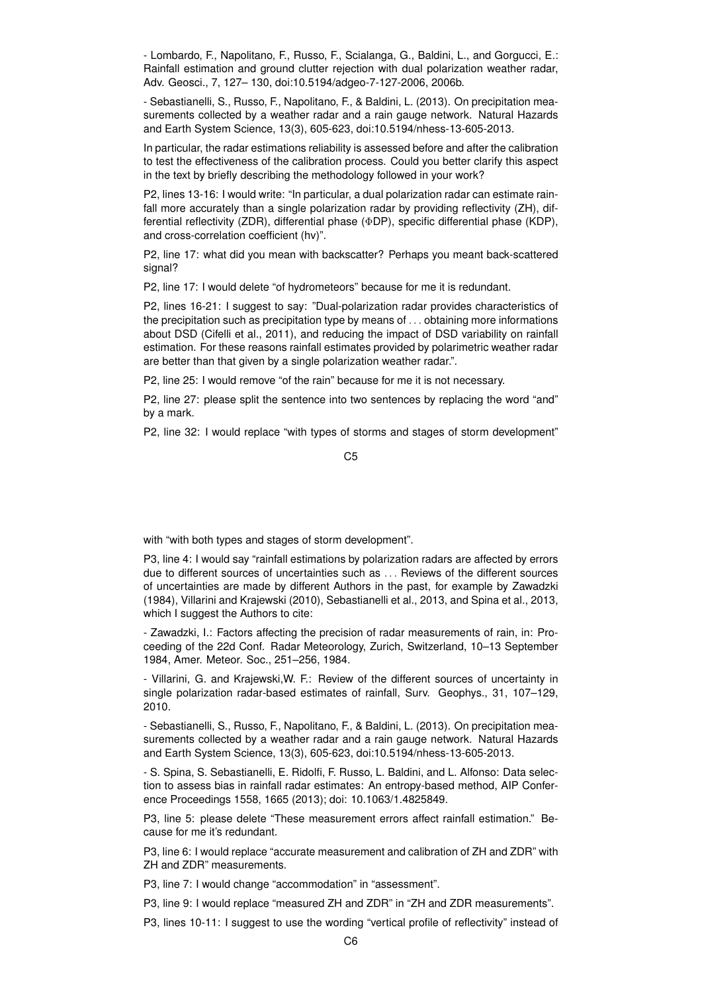- Lombardo, F., Napolitano, F., Russo, F., Scialanga, G., Baldini, L., and Gorgucci, E.: Rainfall estimation and ground clutter rejection with dual polarization weather radar, Adv. Geosci., 7, 127– 130, doi:10.5194/adgeo-7-127-2006, 2006b.

- Sebastianelli, S., Russo, F., Napolitano, F., & Baldini, L. (2013). On precipitation measurements collected by a weather radar and a rain gauge network. Natural Hazards and Earth System Science, 13(3), 605-623, doi:10.5194/nhess-13-605-2013.

In particular, the radar estimations reliability is assessed before and after the calibration to test the effectiveness of the calibration process. Could you better clarify this aspect in the text by briefly describing the methodology followed in your work?

P2, lines 13-16: I would write: "In particular, a dual polarization radar can estimate rainfall more accurately than a single polarization radar by providing reflectivity (ZH), differential reflectivity (ZDR), differential phase (ΦDP), specific differential phase (KDP), and cross-correlation coefficient (hv)".

P2, line 17: what did you mean with backscatter? Perhaps you meant back-scattered signal?

P2, line 17: I would delete "of hydrometeors" because for me it is redundant.

P2, lines 16-21: I suggest to say: "Dual-polarization radar provides characteristics of the precipitation such as precipitation type by means of . . . obtaining more informations about DSD (Cifelli et al., 2011), and reducing the impact of DSD variability on rainfall estimation. For these reasons rainfall estimates provided by polarimetric weather radar are better than that given by a single polarization weather radar.".

P2, line 25: I would remove "of the rain" because for me it is not necessary.

P2, line 27: please split the sentence into two sentences by replacing the word "and" by a mark.

P2, line 32: I would replace "with types of storms and stages of storm development"

C5

with "with both types and stages of storm development".

P3, line 4: I would say "rainfall estimations by polarization radars are affected by errors due to different sources of uncertainties such as . . . Reviews of the different sources of uncertainties are made by different Authors in the past, for example by Zawadzki (1984), Villarini and Krajewski (2010), Sebastianelli et al., 2013, and Spina et al., 2013, which I suggest the Authors to cite:

- Zawadzki, I.: Factors affecting the precision of radar measurements of rain, in: Proceeding of the 22d Conf. Radar Meteorology, Zurich, Switzerland, 10–13 September 1984, Amer. Meteor. Soc., 251–256, 1984.

- Villarini, G. and Krajewski,W. F.: Review of the different sources of uncertainty in single polarization radar-based estimates of rainfall, Surv. Geophys., 31, 107–129, 2010.

- Sebastianelli, S., Russo, F., Napolitano, F., & Baldini, L. (2013). On precipitation measurements collected by a weather radar and a rain gauge network. Natural Hazards and Earth System Science, 13(3), 605-623, doi:10.5194/nhess-13-605-2013.

- S. Spina, S. Sebastianelli, E. Ridolfi, F. Russo, L. Baldini, and L. Alfonso: Data selection to assess bias in rainfall radar estimates: An entropy-based method, AIP Conference Proceedings 1558, 1665 (2013); doi: 10.1063/1.4825849.

P3, line 5: please delete "These measurement errors affect rainfall estimation." Because for me it's redundant.

P3, line 6: I would replace "accurate measurement and calibration of ZH and ZDR" with ZH and ZDR" measurements.

P3, line 7: I would change "accommodation" in "assessment".

P3, line 9: I would replace "measured ZH and ZDR" in "ZH and ZDR measurements".

P3, lines 10-11: I suggest to use the wording "vertical profile of reflectivity" instead of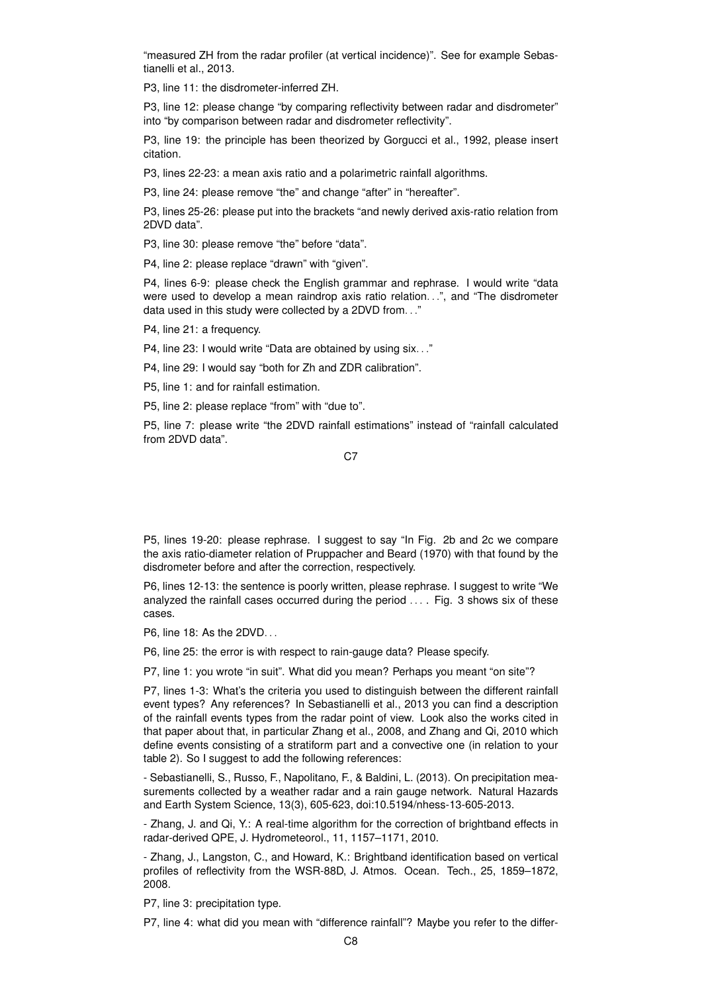"measured ZH from the radar profiler (at vertical incidence)". See for example Sebastianelli et al., 2013.

P3, line 11: the disdrometer-inferred ZH.

P3, line 12: please change "by comparing reflectivity between radar and disdrometer" into "by comparison between radar and disdrometer reflectivity".

P3, line 19: the principle has been theorized by Gorgucci et al., 1992, please insert citation.

P3, lines 22-23: a mean axis ratio and a polarimetric rainfall algorithms.

P3, line 24: please remove "the" and change "after" in "hereafter".

P3, lines 25-26: please put into the brackets "and newly derived axis-ratio relation from 2DVD data".

P3, line 30: please remove "the" before "data".

P4, line 2: please replace "drawn" with "given".

P4, lines 6-9: please check the English grammar and rephrase. I would write "data were used to develop a mean raindrop axis ratio relation. . .", and "The disdrometer data used in this study were collected by a 2DVD from. . ."

P4, line 21: a frequency.

P4, line 23: I would write "Data are obtained by using six. . ."

P4, line 29: I would say "both for Zh and ZDR calibration".

P5, line 1: and for rainfall estimation.

P5, line 2: please replace "from" with "due to".

P5, line 7: please write "the 2DVD rainfall estimations" instead of "rainfall calculated from 2DVD data".

C<sub>7</sub>

P5, lines 19-20: please rephrase. I suggest to say "In Fig. 2b and 2c we compare the axis ratio-diameter relation of Pruppacher and Beard (1970) with that found by the disdrometer before and after the correction, respectively.

P6, lines 12-13: the sentence is poorly written, please rephrase. I suggest to write "We analyzed the rainfall cases occurred during the period ... . Fig. 3 shows six of these cases.

P6, line 18: As the 2DVD. . .

P6, line 25: the error is with respect to rain-gauge data? Please specify.

P7, line 1: you wrote "in suit". What did you mean? Perhaps you meant "on site"?

P7, lines 1-3: What's the criteria you used to distinguish between the different rainfall event types? Any references? In Sebastianelli et al., 2013 you can find a description of the rainfall events types from the radar point of view. Look also the works cited in that paper about that, in particular Zhang et al., 2008, and Zhang and Qi, 2010 which define events consisting of a stratiform part and a convective one (in relation to your table 2). So I suggest to add the following references:

- Sebastianelli, S., Russo, F., Napolitano, F., & Baldini, L. (2013). On precipitation measurements collected by a weather radar and a rain gauge network. Natural Hazards and Earth System Science, 13(3), 605-623, doi:10.5194/nhess-13-605-2013.

- Zhang, J. and Qi, Y.: A real-time algorithm for the correction of brightband effects in radar-derived QPE, J. Hydrometeorol., 11, 1157–1171, 2010.

- Zhang, J., Langston, C., and Howard, K.: Brightband identification based on vertical profiles of reflectivity from the WSR-88D, J. Atmos. Ocean. Tech., 25, 1859–1872, 2008.

P7, line 3: precipitation type.

P7, line 4: what did you mean with "difference rainfall"? Maybe you refer to the differ-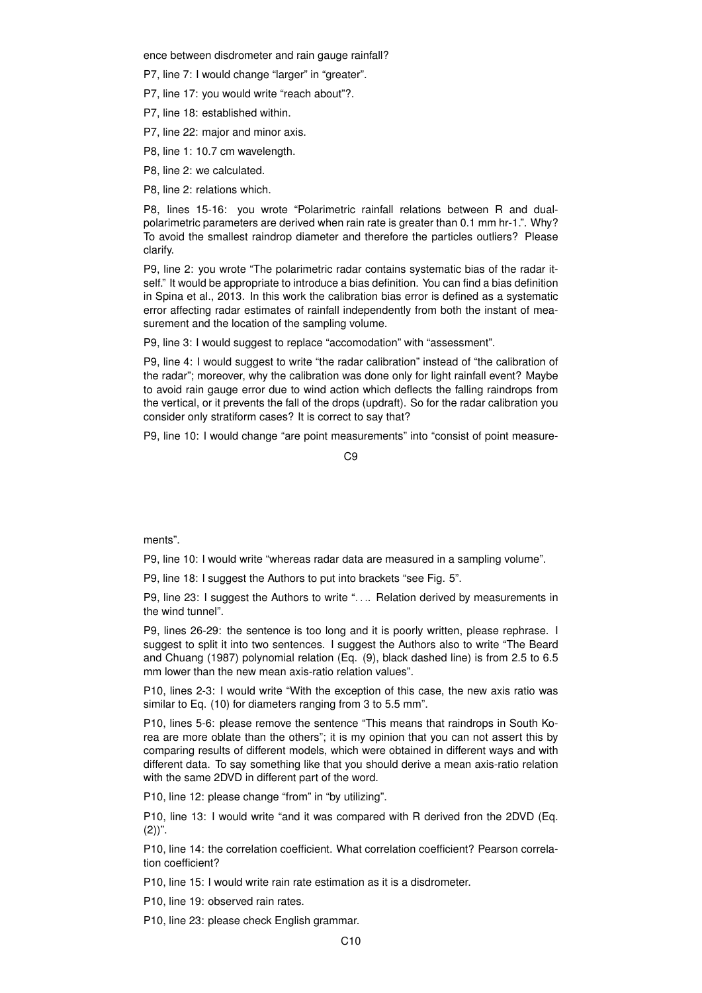ence between disdrometer and rain gauge rainfall?

P7, line 7: I would change "larger" in "greater".

P7, line 17: you would write "reach about"?.

P7, line 18: established within.

P7, line 22: major and minor axis.

P8, line 1: 10.7 cm wavelength.

P8, line 2: we calculated.

P8, line 2: relations which.

P8, lines 15-16: you wrote "Polarimetric rainfall relations between R and dualpolarimetric parameters are derived when rain rate is greater than 0.1 mm hr-1.". Why? To avoid the smallest raindrop diameter and therefore the particles outliers? Please clarify.

P9, line 2: you wrote "The polarimetric radar contains systematic bias of the radar itself." It would be appropriate to introduce a bias definition. You can find a bias definition in Spina et al., 2013. In this work the calibration bias error is defined as a systematic error affecting radar estimates of rainfall independently from both the instant of measurement and the location of the sampling volume.

P9, line 3: I would suggest to replace "accomodation" with "assessment".

P9, line 4: I would suggest to write "the radar calibration" instead of "the calibration of the radar"; moreover, why the calibration was done only for light rainfall event? Maybe to avoid rain gauge error due to wind action which deflects the falling raindrops from the vertical, or it prevents the fall of the drops (updraft). So for the radar calibration you consider only stratiform cases? It is correct to say that?

P9, line 10: I would change "are point measurements" into "consist of point measure-

 $C<sub>9</sub>$ 

ments".

P9, line 10: I would write "whereas radar data are measured in a sampling volume".

P9, line 18: I suggest the Authors to put into brackets "see Fig. 5".

P9, line 23: I suggest the Authors to write ".... Relation derived by measurements in the wind tunnel".

P9, lines 26-29: the sentence is too long and it is poorly written, please rephrase. I suggest to split it into two sentences. I suggest the Authors also to write "The Beard and Chuang (1987) polynomial relation (Eq. (9), black dashed line) is from 2.5 to 6.5 mm lower than the new mean axis-ratio relation values".

P10, lines 2-3: I would write "With the exception of this case, the new axis ratio was similar to Eq. (10) for diameters ranging from 3 to 5.5 mm".

P10, lines 5-6: please remove the sentence "This means that raindrops in South Korea are more oblate than the others"; it is my opinion that you can not assert this by comparing results of different models, which were obtained in different ways and with different data. To say something like that you should derive a mean axis-ratio relation with the same 2DVD in different part of the word.

P10, line 12: please change "from" in "by utilizing".

P10, line 13: I would write "and it was compared with R derived fron the 2DVD (Eq.  $(2)$ ".

P10, line 14: the correlation coefficient. What correlation coefficient? Pearson correlation coefficient?

P10, line 15: I would write rain rate estimation as it is a disdrometer.

P10, line 19: observed rain rates.

P10, line 23: please check English grammar.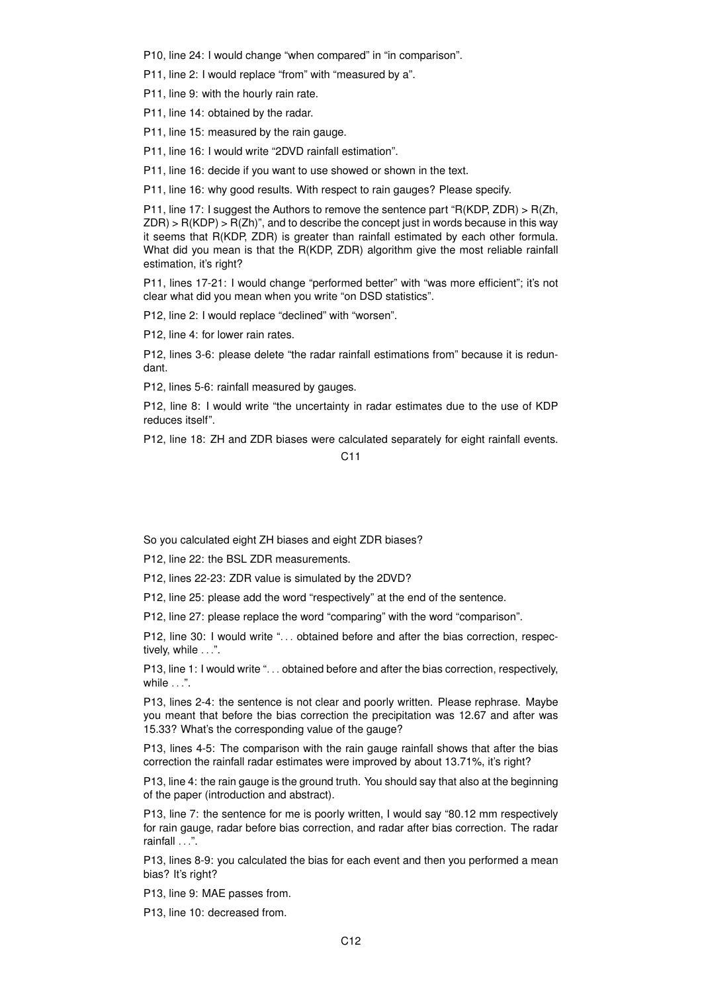P10, line 24: I would change "when compared" in "in comparison".

P11, line 2: I would replace "from" with "measured by a".

P11, line 9: with the hourly rain rate.

P11, line 14: obtained by the radar.

P11, line 15: measured by the rain gauge.

P11, line 16: I would write "2DVD rainfall estimation".

P11, line 16: decide if you want to use showed or shown in the text.

P11, line 16: why good results. With respect to rain gauges? Please specify.

P11, line 17: I suggest the Authors to remove the sentence part "R(KDP, ZDR) > R(Zh,  $ZDR$ ) > R(KDP) > R(Zh)", and to describe the concept just in words because in this way it seems that R(KDP, ZDR) is greater than rainfall estimated by each other formula. What did you mean is that the R(KDP, ZDR) algorithm give the most reliable rainfall estimation, it's right?

P11, lines 17-21: I would change "performed better" with "was more efficient"; it's not clear what did you mean when you write "on DSD statistics".

P12, line 2: I would replace "declined" with "worsen".

P12, line 4: for lower rain rates.

P12, lines 3-6: please delete "the radar rainfall estimations from" because it is redundant.

P12, lines 5-6: rainfall measured by gauges.

P12, line 8: I would write "the uncertainty in radar estimates due to the use of KDP reduces itself".

P12, line 18: ZH and ZDR biases were calculated separately for eight rainfall events.

## $C<sub>11</sub>$

So you calculated eight ZH biases and eight ZDR biases?

P12, line 22: the BSL ZDR measurements.

P12, lines 22-23: ZDR value is simulated by the 2DVD?

P12, line 25: please add the word "respectively" at the end of the sentence.

P12, line 27: please replace the word "comparing" with the word "comparison".

P12, line 30: I would write "... obtained before and after the bias correction, respectively, while ...".

P13, line 1: I would write "... obtained before and after the bias correction, respectively, while ...".

P13, lines 2-4: the sentence is not clear and poorly written. Please rephrase. Maybe you meant that before the bias correction the precipitation was 12.67 and after was 15.33? What's the corresponding value of the gauge?

P13, lines 4-5: The comparison with the rain gauge rainfall shows that after the bias correction the rainfall radar estimates were improved by about 13.71%, it's right?

P13, line 4: the rain gauge is the ground truth. You should say that also at the beginning of the paper (introduction and abstract).

P13, line 7: the sentence for me is poorly written, I would say "80.12 mm respectively for rain gauge, radar before bias correction, and radar after bias correction. The radar rainfall . . .".

P13, lines 8-9: you calculated the bias for each event and then you performed a mean bias? It's right?

P13, line 9: MAE passes from.

P13, line 10: decreased from.